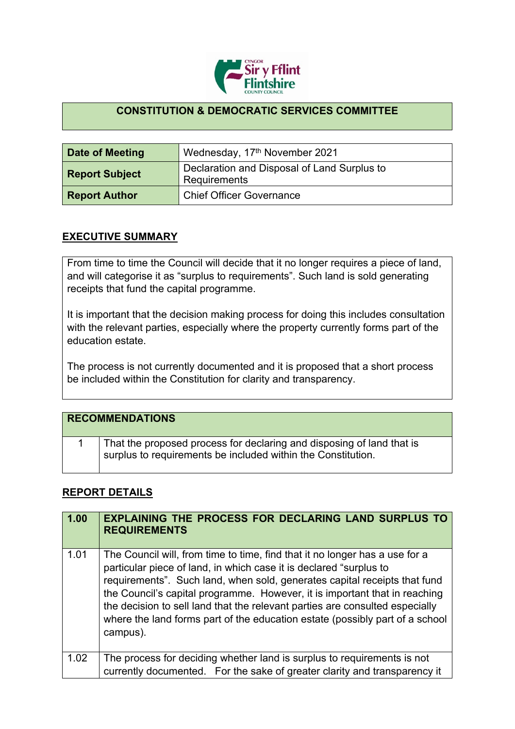

## **CONSTITUTION & DEMOCRATIC SERVICES COMMITTEE**

| Date of Meeting       | Wednesday, 17th November 2021                               |
|-----------------------|-------------------------------------------------------------|
| <b>Report Subject</b> | Declaration and Disposal of Land Surplus to<br>Requirements |
| <b>Report Author</b>  | <b>Chief Officer Governance</b>                             |

## **EXECUTIVE SUMMARY**

From time to time the Council will decide that it no longer requires a piece of land, and will categorise it as "surplus to requirements". Such land is sold generating receipts that fund the capital programme.

It is important that the decision making process for doing this includes consultation with the relevant parties, especially where the property currently forms part of the education estate.

The process is not currently documented and it is proposed that a short process be included within the Constitution for clarity and transparency.

| <b>RECOMMENDATIONS</b>                                                                                                                |
|---------------------------------------------------------------------------------------------------------------------------------------|
| That the proposed process for declaring and disposing of land that is<br>surplus to requirements be included within the Constitution. |

## **REPORT DETAILS**

| 1.00 | <b>EXPLAINING THE PROCESS FOR DECLARING LAND SURPLUS TO</b><br><b>REQUIREMENTS</b>                                                                                                                                                                                                                                                                                                                                                                                                       |
|------|------------------------------------------------------------------------------------------------------------------------------------------------------------------------------------------------------------------------------------------------------------------------------------------------------------------------------------------------------------------------------------------------------------------------------------------------------------------------------------------|
| 1.01 | The Council will, from time to time, find that it no longer has a use for a<br>particular piece of land, in which case it is declared "surplus to<br>requirements". Such land, when sold, generates capital receipts that fund<br>the Council's capital programme. However, it is important that in reaching<br>the decision to sell land that the relevant parties are consulted especially<br>where the land forms part of the education estate (possibly part of a school<br>campus). |
| 1.02 | The process for deciding whether land is surplus to requirements is not<br>currently documented. For the sake of greater clarity and transparency it                                                                                                                                                                                                                                                                                                                                     |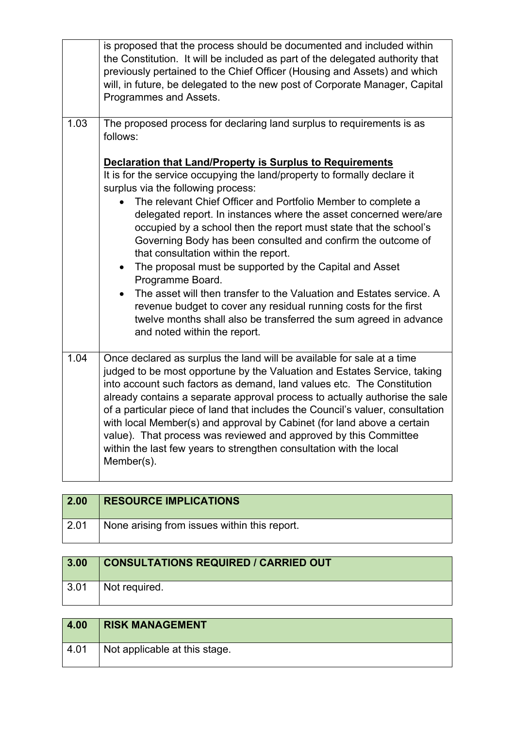|      | is proposed that the process should be documented and included within<br>the Constitution. It will be included as part of the delegated authority that<br>previously pertained to the Chief Officer (Housing and Assets) and which<br>will, in future, be delegated to the new post of Corporate Manager, Capital<br>Programmes and Assets.                                                                                                                                                                                                                                                                                                                                                                                                                                                                                                        |
|------|----------------------------------------------------------------------------------------------------------------------------------------------------------------------------------------------------------------------------------------------------------------------------------------------------------------------------------------------------------------------------------------------------------------------------------------------------------------------------------------------------------------------------------------------------------------------------------------------------------------------------------------------------------------------------------------------------------------------------------------------------------------------------------------------------------------------------------------------------|
| 1.03 | The proposed process for declaring land surplus to requirements is as<br>follows:                                                                                                                                                                                                                                                                                                                                                                                                                                                                                                                                                                                                                                                                                                                                                                  |
|      | <b>Declaration that Land/Property is Surplus to Requirements</b><br>It is for the service occupying the land/property to formally declare it<br>surplus via the following process:<br>The relevant Chief Officer and Portfolio Member to complete a<br>delegated report. In instances where the asset concerned were/are<br>occupied by a school then the report must state that the school's<br>Governing Body has been consulted and confirm the outcome of<br>that consultation within the report.<br>The proposal must be supported by the Capital and Asset<br>$\bullet$<br>Programme Board.<br>The asset will then transfer to the Valuation and Estates service. A<br>revenue budget to cover any residual running costs for the first<br>twelve months shall also be transferred the sum agreed in advance<br>and noted within the report. |
| 1.04 | Once declared as surplus the land will be available for sale at a time<br>judged to be most opportune by the Valuation and Estates Service, taking<br>into account such factors as demand, land values etc. The Constitution<br>already contains a separate approval process to actually authorise the sale<br>of a particular piece of land that includes the Council's valuer, consultation<br>with local Member(s) and approval by Cabinet (for land above a certain<br>value). That process was reviewed and approved by this Committee<br>within the last few years to strengthen consultation with the local<br>Member(s).                                                                                                                                                                                                                   |

| $\vert$ 2.00 | <b>RESOURCE IMPLICATIONS</b>                 |
|--------------|----------------------------------------------|
| 2.01         | None arising from issues within this report. |

| 3.00         | <b>CONSULTATIONS REQUIRED / CARRIED OUT</b> |
|--------------|---------------------------------------------|
| $\vert$ 3.01 | Not required.                               |

| 4.00 | <b>RISK MANAGEMENT</b>        |
|------|-------------------------------|
| 4.01 | Not applicable at this stage. |